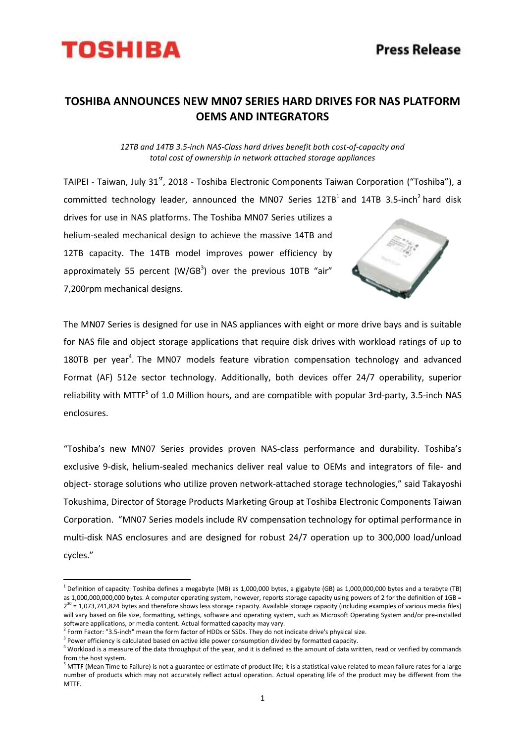

## **TOSHIBA ANNOUNCES NEW MN07 SERIES HARD DRIVES FOR NAS PLATFORM OEMS AND INTEGRATORS**

*12TB and 14TB 3.5-inch NAS-Class hard drives benefit both cost-of-capacity and total cost of ownership in network attached storage appliances*

TAIPEI - Taiwan, July 31<sup>st</sup>, 2018 - Toshiba Electronic Components Taiwan Corporation ("Toshiba"), a committed technology leader, announced the MN07 Series  $12TB^1$  and  $14TB$  3.5-inch<sup>2</sup> hard disk

drives for use in NAS platforms. The Toshiba MN07 Series utilizes a helium-sealed mechanical design to achieve the massive 14TB and 12TB capacity. The 14TB model improves power efficiency by approximately 55 percent (W/GB<sup>3</sup>) over the previous 10TB "air" 7,200rpm mechanical designs.



The MN07 Series is designed for use in NAS appliances with eight or more drive bays and is suitable for NAS file and object storage applications that require disk drives with workload ratings of up to 180TB per year<sup>4</sup>. The MN07 models feature vibration compensation technology and advanced Format (AF) 512e sector technology. Additionally, both devices offer 24/7 operability, superior reliability with MTTF<sup>5</sup> of 1.0 Million hours, and are compatible with popular 3rd-party, 3.5-inch NAS enclosures.

"Toshiba's new MN07 Series provides proven NAS-class performance and durability. Toshiba's exclusive 9-disk, helium-sealed mechanics deliver real value to OEMs and integrators of file- and object- storage solutions who utilize proven network-attached storage technologies," said Takayoshi Tokushima, Director of Storage Products Marketing Group at Toshiba Electronic Components Taiwan Corporation. "MN07 Series models include RV compensation technology for optimal performance in multi-disk NAS enclosures and are designed for robust 24/7 operation up to 300,000 load/unload cycles."

 $\overline{a}$ 

<sup>&</sup>lt;sup>1</sup> Definition of capacity: Toshiba defines a megabyte (MB) as 1,000,000 bytes, a gigabyte (GB) as 1,000,000,000 bytes and a terabyte (TB) as 1,000,000,000,000 bytes. A computer operating system, however, reports storage capacity using powers of 2 for the definition of 1GB = 2<sup>30</sup> = 1,073,741,824 bytes and therefore shows less storage capacity. Available storage capacity (including examples of various media files) will vary based on file size, formatting, settings, software and operating system, such as Microsoft Operating System and/or pre-installed software applications, or media content. Actual formatted capacity may vary.

 $^2$  Form Factor: "3.5-inch" mean the form factor of HDDs or SSDs. They do not indicate drive's physical size.

 $3$  Power efficiency is calculated based on active idle power consumption divided by formatted capacity.

 $4$  Workload is a measure of the data throughput of the year, and it is defined as the amount of data written, read or verified by commands from the host system.

 $5$  MTTF (Mean Time to Failure) is not a guarantee or estimate of product life; it is a statistical value related to mean failure rates for a large number of products which may not accurately reflect actual operation. Actual operating life of the product may be different from the MTTF.